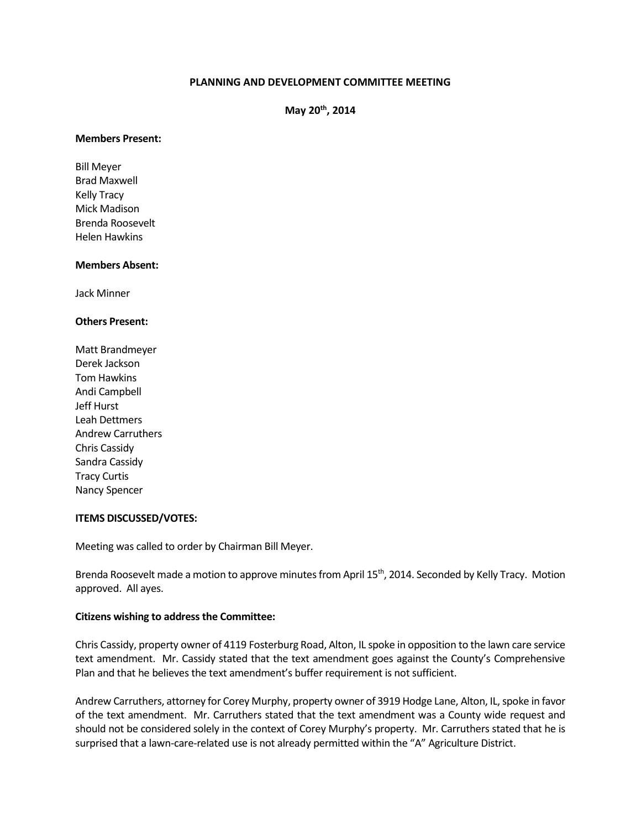# **PLANNING AND DEVELOPMENT COMMITTEE MEETING**

**May 20th, 2014**

#### **Members Present:**

Bill Meyer Brad Maxwell Kelly Tracy Mick Madison Brenda Roosevelt Helen Hawkins

#### **Members Absent:**

Jack Minner

### **Others Present:**

Matt Brandmeyer Derek Jackson Tom Hawkins Andi Campbell Jeff Hurst Leah Dettmers Andrew Carruthers Chris Cassidy Sandra Cassidy Tracy Curtis Nancy Spencer

### **ITEMS DISCUSSED/VOTES:**

Meeting was called to order by Chairman Bill Meyer.

Brenda Roosevelt made a motion to approve minutes from April 15<sup>th</sup>, 2014. Seconded by Kelly Tracy. Motion approved. All ayes.

### **Citizens wishing to address the Committee:**

Chris Cassidy, property owner of 4119 Fosterburg Road, Alton, IL spoke in opposition to the lawn care service text amendment. Mr. Cassidy stated that the text amendment goes against the County's Comprehensive Plan and that he believes the text amendment's buffer requirement is not sufficient.

Andrew Carruthers, attorney for Corey Murphy, property owner of 3919 Hodge Lane, Alton, IL, spoke in favor of the text amendment. Mr. Carruthers stated that the text amendment was a County wide request and should not be considered solely in the context of Corey Murphy's property. Mr. Carruthers stated that he is surprised that a lawn-care-related use is not already permitted within the "A" Agriculture District.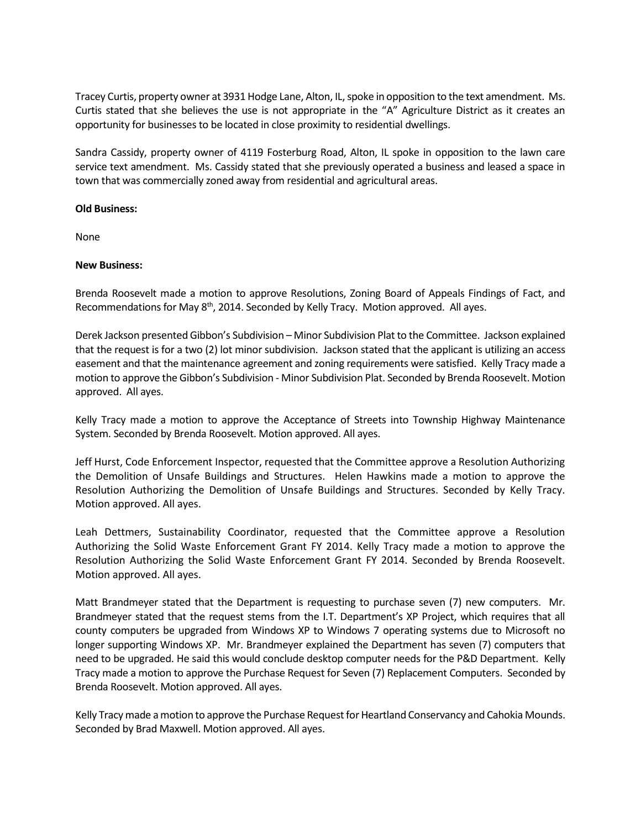Tracey Curtis, property owner at 3931 Hodge Lane, Alton, IL, spoke in opposition to the text amendment. Ms. Curtis stated that she believes the use is not appropriate in the "A" Agriculture District as it creates an opportunity for businesses to be located in close proximity to residential dwellings.

Sandra Cassidy, property owner of 4119 Fosterburg Road, Alton, IL spoke in opposition to the lawn care service text amendment. Ms. Cassidy stated that she previously operated a business and leased a space in town that was commercially zoned away from residential and agricultural areas.

## **Old Business:**

None

## **New Business:**

Brenda Roosevelt made a motion to approve Resolutions, Zoning Board of Appeals Findings of Fact, and Recommendations for May 8<sup>th</sup>, 2014. Seconded by Kelly Tracy. Motion approved. All ayes.

Derek Jackson presented Gibbon's Subdivision – Minor Subdivision Plat to the Committee. Jackson explained that the request is for a two (2) lot minor subdivision. Jackson stated that the applicant is utilizing an access easement and that the maintenance agreement and zoning requirements were satisfied. Kelly Tracy made a motion to approve the Gibbon's Subdivision - Minor Subdivision Plat. Seconded by Brenda Roosevelt. Motion approved. All ayes.

Kelly Tracy made a motion to approve the Acceptance of Streets into Township Highway Maintenance System. Seconded by Brenda Roosevelt. Motion approved. All ayes.

Jeff Hurst, Code Enforcement Inspector, requested that the Committee approve a Resolution Authorizing the Demolition of Unsafe Buildings and Structures. Helen Hawkins made a motion to approve the Resolution Authorizing the Demolition of Unsafe Buildings and Structures. Seconded by Kelly Tracy. Motion approved. All ayes.

Leah Dettmers, Sustainability Coordinator, requested that the Committee approve a Resolution Authorizing the Solid Waste Enforcement Grant FY 2014. Kelly Tracy made a motion to approve the Resolution Authorizing the Solid Waste Enforcement Grant FY 2014. Seconded by Brenda Roosevelt. Motion approved. All ayes.

Matt Brandmeyer stated that the Department is requesting to purchase seven (7) new computers. Mr. Brandmeyer stated that the request stems from the I.T. Department's XP Project, which requires that all county computers be upgraded from Windows XP to Windows 7 operating systems due to Microsoft no longer supporting Windows XP. Mr. Brandmeyer explained the Department has seven (7) computers that need to be upgraded. He said this would conclude desktop computer needs for the P&D Department. Kelly Tracy made a motion to approve the Purchase Request for Seven (7) Replacement Computers. Seconded by Brenda Roosevelt. Motion approved. All ayes.

Kelly Tracy made a motion to approve the Purchase Request for Heartland Conservancy and Cahokia Mounds. Seconded by Brad Maxwell. Motion approved. All ayes.